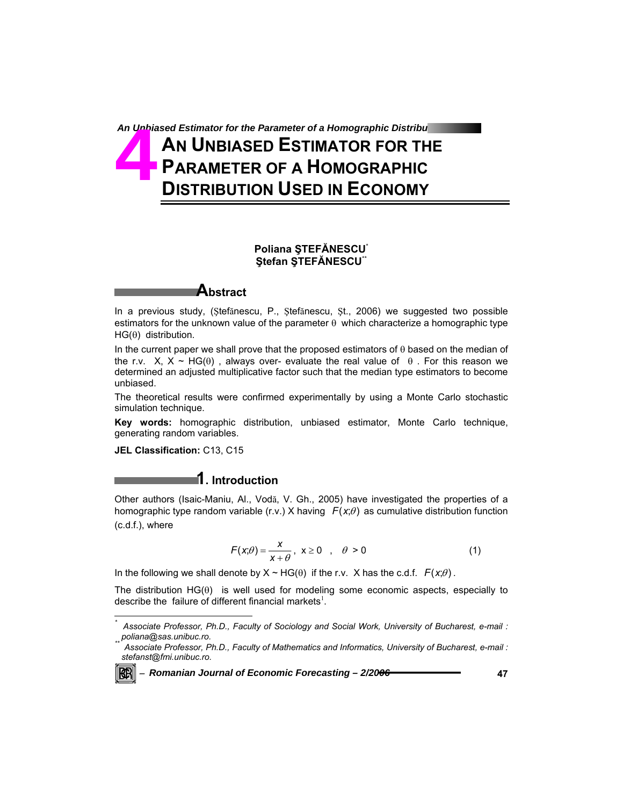# An Unbiased Estimator for the Parameter of a Homographic Distribu **AN UNBIASED ESTIMATOR FOR THE PARAMETER OF A HOMOGRAPHIC DISTRIBUTION USED IN ECONOMY** An Unbia<br>**Angle Strate**

### **Poliana ŞTEFĂNESCU**\* **Ştefan ŞTEFĂNESCU**\*\*

## **Abstract**

In a previous study, (Ştefănescu, P., Ştefănescu, Şt., 2006) we suggested two possible estimators for the unknown value of the parameter  $\theta$  which characterize a homographic type HG(θ) distribution.

In the current paper we shall prove that the proposed estimators of  $\theta$  based on the median of the r.v. X, X ~ HG( $\theta$ ), always over- evaluate the real value of  $\theta$ . For this reason we determined an adjusted multiplicative factor such that the median type estimators to become unbiased.

The theoretical results were confirmed experimentally by using a Monte Carlo stochastic simulation technique.

**Key words:** homographic distribution, unbiased estimator, Monte Carlo technique, generating random variables.

**JEL Classification:** C13, C15

## **1. Introduction**

Other authors (Isaic-Maniu, Al., Vodă, V. Gh., 2005) have investigated the properties of a homographic type random variable  $(r.v.)$  X having  $F(x;\theta)$  as cumulative distribution function (c.d.f.), where

$$
F(x; \theta) = \frac{x}{x + \theta}, \quad x \ge 0 \quad , \quad \theta > 0 \tag{1}
$$

In the following we shall denote by  $X \sim HG(\theta)$  if the r.v. X has the c.d.f.  $F(x;\theta)$ .

The distribution  $HG(\theta)$  is well used for modeling some economic aspects, especially to describe the failure of different financial markets<sup>1</sup>.

Associate Professor, Ph.D., Faculty of Mathematics and Informatics, University of Bucharest, e-mail : *stefanst@fmi.unibuc.ro.* 



 $\overline{a}$ 

<sup>−</sup> *Romanian Journal of Economic Forecasting – 2/2006* **47**

*<sup>\*</sup> Associate Professor, Ph.D., Faculty of Sociology and Social Work, University of Bucharest, e-mail :*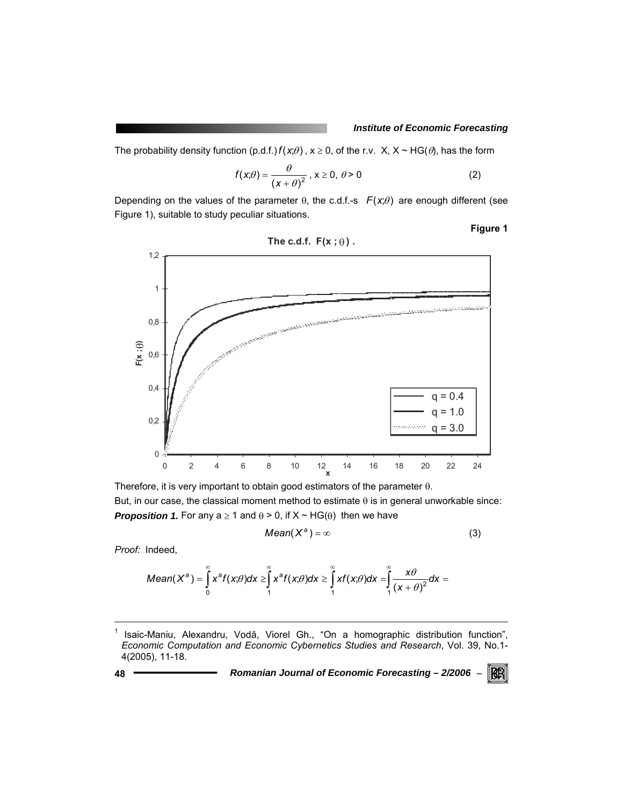### *Institute of Economic Forecasting*

The probability density function (p.d.f.)  $f(x;\theta)$ ,  $x \ge 0$ , of the r.v. X,  $X \sim HG(\theta)$ , has the form

$$
f(x; \theta) = \frac{\theta}{(x + \theta)^2}, x \ge 0, \theta > 0
$$
 (2)

Depending on the values of the parameter  $\theta$ , the c.d.f.-s  $F(x;\theta)$  are enough different (see Figure 1), suitable to study peculiar situations.

**Figure 1** 



Therefore, it is very important to obtain good estimators of the parameter θ. But, in our case, the classical moment method to estimate θ is in general unworkable since: **Proposition 1.** For any  $a \ge 1$  and  $\theta > 0$ , if  $X \sim HG(\theta)$  then we have

$$
Mean(X^a) = \infty \tag{3}
$$

*Proof:* Indeed,

$$
Mean(X^{a}) = \int_{0}^{\infty} x^{a} f(x;\theta) dx \geq \int_{1}^{\infty} x^{a} f(x;\theta) dx \geq \int_{1}^{\infty} x f(x;\theta) dx = \int_{1}^{\infty} \frac{x\theta}{(x+\theta)^{2}} dx =
$$

l

**48** *Romanian Journal of Economic Forecasting – 2/2006* <sup>−</sup>

RGRI

<sup>1</sup> Isaic-Maniu, Alexandru, Vodă, Viorel Gh., "On a homographic distribution function", *Economic Computation and Economic Cybernetics Studies and Research*, Vol. 39, No.1- 4(2005), 11-18.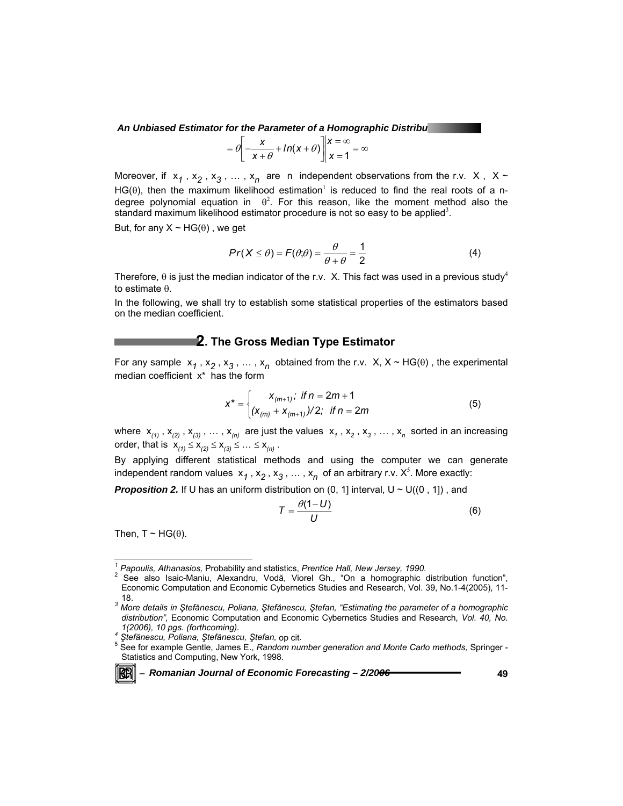**An Unbiased Estimator for the Parameter of a Homographic Distribution** 

$$
= \theta \left[ \frac{x}{x + \theta} + ln(x + \theta) \right] \begin{cases} x = \infty \\ x = 1 \end{cases} = \infty
$$

Moreover, if  $x_1$ ,  $x_2$ ,  $x_3$ , ...,  $x_n$  are n independent observations from the r.v. X, X ~ HG( $\theta$ ), then the maximum likelihood estimation<sup>1</sup> is reduced to find the real roots of a ndegree polynomial equation in  $\theta^2$ . For this reason, like the moment method also the standard maximum likelihood estimator procedure is not so easy to be applied<sup>3</sup>.

But, for any  $X \sim HG(\theta)$ , we get

$$
Pr(X \le \theta) = F(\theta; \theta) = \frac{\theta}{\theta + \theta} = \frac{1}{2}
$$
 (4)

Therefore,  $\theta$  is just the median indicator of the r.v. X. This fact was used in a previous study<sup>4</sup> to estimate θ.

In the following, we shall try to establish some statistical properties of the estimators based on the median coefficient.

## **2. The Gross Median Type Estimator**

For any sample  $x_1$ ,  $x_2$ ,  $x_3$ , ...,  $x_n$  obtained from the r.v. X, X ~ HG( $\theta$ ), the experimental median coefficient x\* has the form

$$
x^* = \begin{cases} x_{(m+1)}; & \text{if } n = 2m+1\\ (x_{(m)} + x_{(m+1)})/2; & \text{if } n = 2m \end{cases}
$$
(5)

where  $x_{(1)}$ ,  $x_{(2)}$ ,  $x_{(3)}$ , ...,  $x_{(n)}$  are just the values  $x_1$ ,  $x_2$ ,  $x_3$ , ...,  $x_n$  sorted in an increasing order, that is  $x_{(1)} \le x_{(2)} \le x_{(3)} \le ... \le x_{(n)}$ .

By applying different statistical methods and using the computer we can generate independent random values  $x_1, x_2, x_3, ..., x_n$  of an arbitrary r.v.  $X^5$ . More exactly:

**Proposition 2.** If U has an uniform distribution on (0, 1] interval,  $U \sim U((0, 1])$ , and

$$
T = \frac{\theta(1-U)}{U} \tag{6}
$$

Then,  $T \sim HG(\theta)$ .

<sup>−</sup> *Romanian Journal of Economic Forecasting – 2/2006* **49**

<sup>&</sup>lt;sup>1</sup><br><sup>1</sup> Papoulis, Athanasios, Probability and statistics, Prentice Hall, New Jersey, 1990.<br><sup>2</sup> See also Jesie Maniu, Alexandru, Vedě, Vierel, Ch. "On a homographie a

<sup>&</sup>lt;sup>2</sup> See also Isaic-Maniu, Alexandru, Vodă, Viorel Gh., "On a homographic distribution function", Economic Computation and Economic Cybernetics Studies and Research, Vol. 39, No.1-4(2005), 11-

<sup>18.</sup> *<sup>3</sup> More details in Ştefănescu, Poliana, Ştefănescu, Ştefan, "Estimating the parameter of a homographic distribution",* Economic Computation and Economic Cybernetics Studies and Research*, Vol. 40, No. 1(2006), 10 pgs. (forthcoming). 4 <sup>Ş</sup>tefănescu, Poliana, Ştefănescu, Ştefan,* op cit*.* <sup>5</sup>

See for example Gentle, James E., *Random number generation and Monte Carlo methods,* Springer - Statistics and Computing, New York, 1998.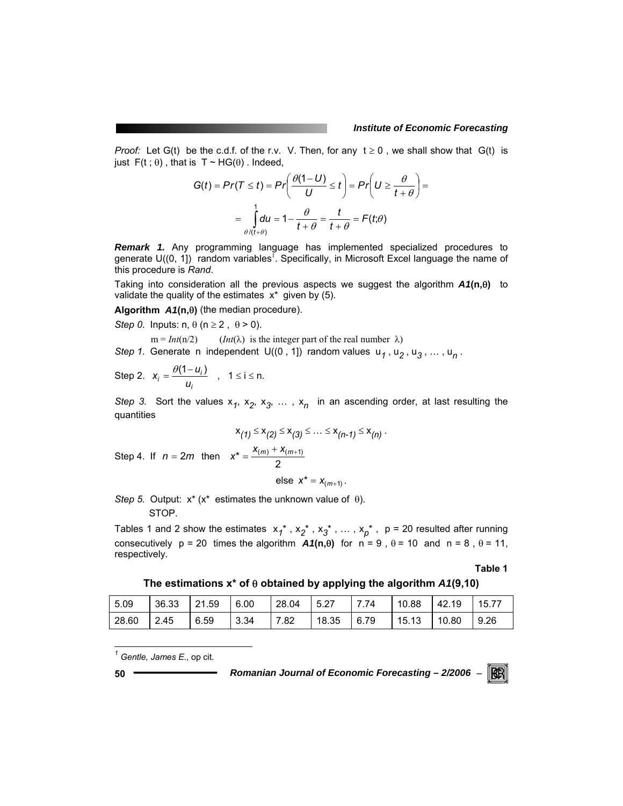#### *Institute of Economic Forecasting*

*Proof:* Let G(t) be the c.d.f. of the r.v. V. Then, for any  $t \ge 0$ , we shall show that G(t) is just  $F(t; \theta)$ , that is  $T \sim HG(\theta)$ . Indeed,

$$
G(t) = Pr(T \le t) = Pr\left(\frac{\theta(1-U)}{U} \le t\right) = Pr\left(U \ge \frac{\theta}{t+\theta}\right) =
$$

$$
= \int_{\theta/(t+\theta)}^{1} du = 1 - \frac{\theta}{t+\theta} = \frac{t}{t+\theta} = F(t;\theta)
$$

*Remark 1.* Any programming language has implemented specialized procedures to generate  $U((0, 1])$  random variables<sup>1</sup>. Specifically, in Microsoft Excel language the name of this procedure is *Rand*.

Taking into consideration all the previous aspects we suggest the algorithm *A1***(n,**θ**)** to validate the quality of the estimates  $x^*$  given by (5).

**Algorithm** *A1***(n,**θ**)** (the median procedure).

*Step 0.* Inputs:  $n, \theta$  ( $n \ge 2$ ,  $\theta > 0$ ).

 $m = Int(n/2)$  (*Int*( $\lambda$ ) is the integer part of the real number  $\lambda$ ) *Step 1.* Generate n independent U((0, 1) random values  $u_1$ ,  $u_2$ ,  $u_3$ , ...,  $u_n$ .

Step 2. 
$$
x_i = \frac{\theta(1 - u_i)}{u_i}
$$
,  $1 \le i \le n$ .

*Step 3.* Sort the values  $x_1$ ,  $x_2$ ,  $x_3$ , ...,  $x_n$  in an ascending order, at last resulting the quantities

$$
x_{(1)} \le x_{(2)} \le x_{(3)} \le \dots \le x_{(n-1)} \le x_{(n)}.
$$
  
Step 4. If  $n = 2m$  then  $x^* = \frac{x_{(m)} + x_{(m+1)}}{2}$ 

else  $x^* = x_{(m+1)}$ .

*Step 5.* Output: x\* (x\* estimates the unknown value of θ). STOP.

Tables 1 and 2 show the estimates  $x_1^*$ ,  $x_2^*$ ,  $x_3^*$ , ...,  $x_p^*$ ,  $p = 20$  resulted after running consecutively  $p = 20$  times the algorithm  $A1(n, \theta)$  for  $n = 9$ ,  $\theta = 10$  and  $n = 8$ ,  $\theta = 11$ , respectively.

**Table 1** 

**The estimations x\* of** θ **obtained by applying the algorithm** *A1***(9,10)** 

| 5.09         | $36.33$ 21.59 | 6.00 | $28.04$ 5.27 |              | 7.74 |               | 10.88   42.19   15.77 |              |
|--------------|---------------|------|--------------|--------------|------|---------------|-----------------------|--------------|
| $28.60$ 2.45 | 6.59          | 3.34 | 7.82         | $18.35$ 6.79 |      | $15.13$ 10.80 |                       | $\vert$ 9.26 |

*1 Gentle, James E.,* op cit*.* 

l

**50** *Romanian Journal of Economic Forecasting – 2/2006* <sup>−</sup>

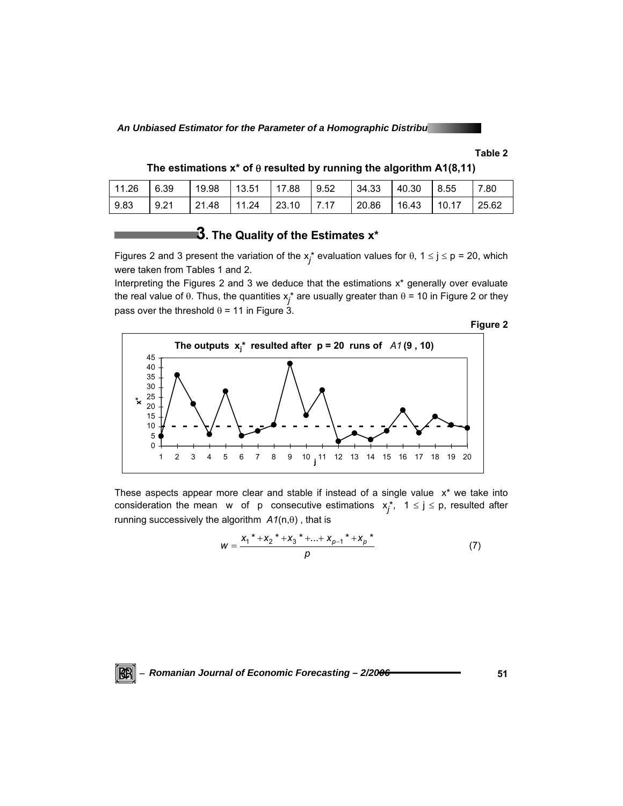**An Unbiased Estimator for the Parameter of a Homographic Distribution of a Multiple 2018** 

### **Table 2**

| The estimations $x^*$ of $\theta$ resulted by running the algorithm A1(8,11) |  |  |  |
|------------------------------------------------------------------------------|--|--|--|
|                                                                              |  |  |  |

| $11.26$ 6.39 |      | 19.98 | 13.51         | $17.88$ 9.52 |      | $ 34.33\rangle$ | 40.30 | 8.55  | 7.80  |
|--------------|------|-------|---------------|--------------|------|-----------------|-------|-------|-------|
| 9.83         | 9.21 | 21.48 | $11.24$ 23.10 |              | 7.17 | 20.86           | 16.43 | 10.17 | 25.62 |

# **3. The Quality of the Estimates x\***

Figures 2 and 3 present the variation of the  $x_j^*$  evaluation values for  $\theta$ , 1  $\leq$  j  $\leq$  p = 20, which were taken from Tables 1 and 2.

Interpreting the Figures 2 and 3 we deduce that the estimations  $x^*$  generally over evaluate the real value of θ. Thus, the quantities  $x_j^*$  are usually greater than θ = 10 in Figure 2 or they pass over the threshold  $\theta$  = 11 in Figure 3.



These aspects appear more clear and stable if instead of a single value  $x^*$  we take into consideration the mean w of p consecutive estimations  $x_j^*$ ,  $1 \le j \le p$ , resulted after running successively the algorithm *A1*(n,θ) , that is

$$
W = \frac{{x_1}^{*} + {x_2}^{*} + {x_3}^{*} + ... + {x_{p-1}}^{*} + {x_p}^{*}}{p}
$$
 (7)

<sup>−</sup> *Romanian Journal of Economic Forecasting – 2/2006* **51** KRI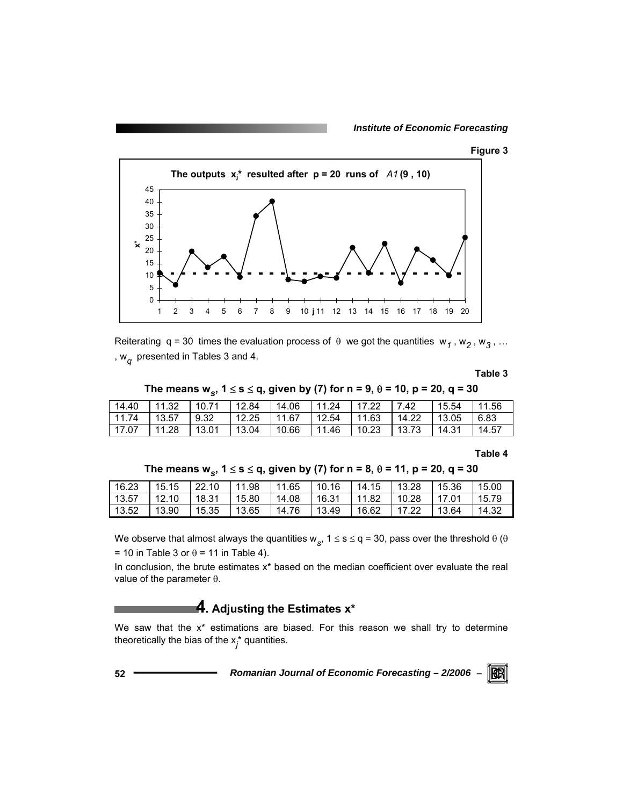*Institute of Economic Forecasting*





Reiterating q = 30 times the evaluation process of  $\theta$  we got the quantities w<sub>1</sub>, w<sub>2</sub>, w<sub>3</sub>, ... , w*q* presented in Tables 3 and 4.

**Table 3** 

The means w<sub>*s*</sub>, 1 ≤ s ≤ q, given by (7) for n = 9,  $\theta$  = 10, p = 20, q = 30

| 14.40   | $\vert$ 11.32 | 110.71 | 12.84 | 14.06 | 11.24               | 17.22  | 7.42  | 15.54         | 11.56 |
|---------|---------------|--------|-------|-------|---------------------|--------|-------|---------------|-------|
| 11.74   | 13.57         | 9.32   | 12.25 |       | $11.67$ 12.54 11.63 |        | 14.22 | $\vert$ 13.05 | 6.83  |
| l 17.07 | 11.28         | 13.01  | 13.04 | 10.66 | 11.46               | 110.23 | 13.73 | 14.31         | 14.57 |

**Table 4** 

| 16.23 | 15.15 | 122.10 | 11.98 | 11.65 | 10.16 | 14.15 | 13.28 | 15.36 | 15.00 |
|-------|-------|--------|-------|-------|-------|-------|-------|-------|-------|
| 13.57 | 12.10 | 18.31  | 15.80 | 14.08 | 16.31 | 11.82 | 10.28 | 17.01 | 15.79 |
| 13.52 | 13.90 | 15.35  | 13.65 | 14.76 | 13.49 | 16.62 | 17.22 | 13.64 | 14.32 |

The means w<sub>s</sub><sup></sup>, 1 ≤ s ≤ q, given by (7) for n = 8,  $\theta$  = 11, p = 20, q = 30

We observe that almost always the quantities w<sub>s</sub>,  $1 \le s \le q = 30$ , pass over the threshold  $\theta$  ( $\theta$ = 10 in Table 3 or  $\theta$  = 11 in Table 4).

In conclusion, the brute estimates  $x^*$  based on the median coefficient over evaluate the real value of the parameter θ.

# **4. Adjusting the Estimates x\***

We saw that the  $x^*$  estimations are biased. For this reason we shall try to determine theoretically the bias of the x*<sup>j</sup>* \* quantities.

**52** *Romanian Journal of Economic Forecasting – 2/2006* <sup>−</sup>

RGRI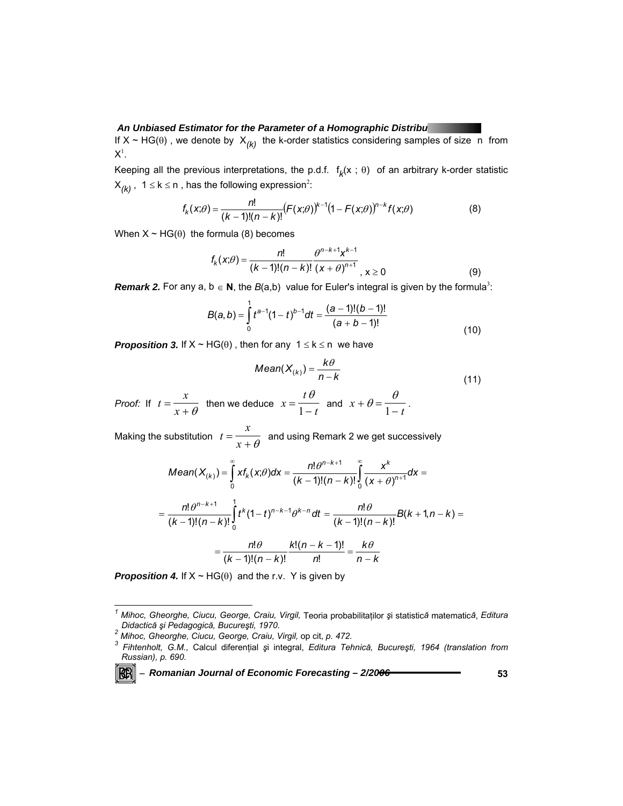#### **An Unbiased Estimator for the Parameter of a Homographic Distribution of a Homographic Angle in Angle II**

If  $X \sim HG(\theta)$ , we denote by  $X_{(k)}$  the k-order statistics considering samples of size n from  $\mathsf{X}^1$ .

Keeping all the previous interpretations, the p.d.f.  $f_k(x; \theta)$  of an arbitrary k-order statistic  $X_{(k)}$ , 1 ≤ k ≤ n, has the following expression<sup>2</sup>:

$$
f_k(x;\theta) = \frac{n!}{(k-1)!(n-k)!} (F(x;\theta))^{k-1} (1 - F(x;\theta))^{n-k} f(x;\theta)
$$
 (8)

When  $X \sim HG(\theta)$  the formula (8) becomes

$$
f_{k}(x;\theta) = \frac{n!}{(k-1)!(n-k)!} \frac{\theta^{n-k+1}x^{k-1}}{(x+\theta)^{n+1}}, x \ge 0
$$
 (9)

**Remark 2.** For any a,  $b \in N$ , the  $B(a,b)$  value for Euler's integral is given by the formula<sup>3</sup>:

$$
B(a,b) = \int_{0}^{1} t^{a-1} (1-t)^{b-1} dt = \frac{(a-1)!(b-1)!}{(a+b-1)!}
$$
\n(10)

*Proposition 3.* If  $X \sim HG(\theta)$ , then for any  $1 \le k \le n$  we have

Mean
$$
(X_{(k)}) = \frac{k\theta}{n-k}
$$
 (11)

*Proof:* If *t*  $=\frac{x}{x+\theta}$  then we deduce *x*  $=\frac{t\theta}{1-t}$  $\frac{t\theta}{1-t}$  and  $x+\theta=\frac{\theta}{1-t}$ .

Making the substitution *t*  $=\frac{x}{x+\theta}$  and using Remark 2 we get successively

Mean
$$
(X_{(k)}) = \int_{0}^{\infty} x f_{k}(x;\theta) dx = \frac{n! \theta^{n-k+1}}{(k-1)!(n-k)!} \int_{0}^{\infty} \frac{x^{k}}{(x+\theta)^{n+1}} dx =
$$
  
\n
$$
= \frac{n! \theta^{n-k+1}}{(k-1)!(n-k)!} \int_{0}^{1} t^{k} (1-t)^{n-k-1} \theta^{k-n} dt = \frac{n! \theta}{(k-1)!(n-k)!} B(k+1, n-k) =
$$
  
\n
$$
= \frac{n! \theta}{(k-1)!(n-k)!} \frac{k!(n-k-1)!}{n!} = \frac{k \theta}{n-k}
$$

**Proposition 4.** If  $X \sim HG(\theta)$  and the r.v. Y is given by

l

*<sup>1</sup> Mihoc, Gheorghe, Ciucu, George, Craiu, Virgil,* Teoria probabilitaţilor *ş*i statistic*ă* matematic*ă*, *Editura Didactic<sup>ă</sup> <sup>ş</sup>i Pedagogică, Bucureşti, 1970. 2*

<sup>&</sup>lt;sup>2</sup> Mihoc, Gheorghe, Ciucu, George, Craiu, Virgil, op cit, p. 472.<br><sup>3</sup>. Eihtenbelt, C.M., Coleul diferential ei integral. Editure Tel

*Fihtenholt, G.M.,* Calcul diferenţial *ş*i integral, *Editura Tehnică, Bucureşti, 1964 (translation from Russian), p. 690.*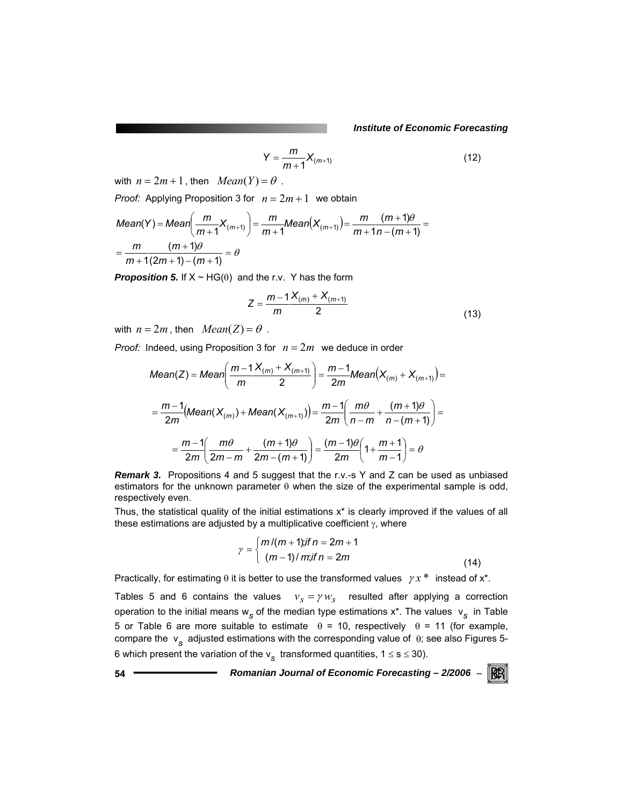*Institute of Economic Forecasting*

$$
Y = \frac{m}{m+1} X_{(m+1)}
$$
 (12)

with  $n = 2m + 1$ , then  $Mean(Y) = \theta$ .

*Proof:* Applying Proposition 3 for  $n = 2m + 1$  we obtain

Mean(Y) = Mean 
$$
\left(\frac{m}{m+1}X_{(m+1)}\right) = \frac{m}{m+1}Mean(X_{(m+1)}) = \frac{m}{m+1n - (m+1)} = \frac{m}{m+1(n+1)} = \frac{m}{m+1(2m+1) - (m+1)} = \theta
$$

*Proposition 5.* If  $X \sim HG(\theta)$  and the r.v. Y has the form

$$
Z = \frac{m-1 X_{(m)} + X_{(m+1)}}{2}
$$
 (13)

with  $n = 2m$ , then  $Mean(Z) = \theta$ .

*Proof:* Indeed, using Proposition 3 for  $n = 2m$  we deduce in order

Mean(Z) = Mean 
$$
\left(\frac{m-1 X_{(m)} + X_{(m+1)}}{m} \right) = \frac{m-1}{2m} Mean(X_{(m)} + X_{(m+1)}) =
$$
  
\n
$$
= \frac{m-1}{2m} (Mean(X_{(m)}) + Mean(X_{(m+1)})) = \frac{m-1}{2m} \left(\frac{m\theta}{n-m} + \frac{(m+1)\theta}{n-(m+1)} \right) =
$$
\n
$$
= \frac{m-1}{2m} \left(\frac{m\theta}{2m-m} + \frac{(m+1)\theta}{2m-(m+1)} \right) = \frac{(m-1)\theta}{2m} \left(1 + \frac{m+1}{m-1} \right) = \theta
$$

**Remark 3.** Propositions 4 and 5 suggest that the r.v.-s Y and Z can be used as unbiased estimators for the unknown parameter  $\theta$  when the size of the experimental sample is odd, respectively even.

Thus, the statistical quality of the initial estimations x\* is clearly improved if the values of all these estimations are adjusted by a multiplicative coefficient  $\gamma$ , where

$$
\gamma = \begin{cases} m/(m+1); \text{if } n = 2m+1 \\ (m-1)/m; \text{if } n = 2m \end{cases}
$$
 (14)

Practically, for estimating  $\theta$  it is better to use the transformed values  $\gamma x^*$  instead of  $x^*$ .

Tables 5 and 6 contains the values  $v_s = \gamma w_s$  resulted after applying a correction operation to the initial means w<sub>s</sub> of the median type estimations x<sup>\*</sup>. The values v<sub>s</sub> in Table 5 or Table 6 are more suitable to estimate  $θ = 10$ , respectively  $θ = 11$  (for example, compare the v*s* adjusted estimations with the corresponding value of θ; see also Figures 5- 6 which present the variation of the  $v_s$  transformed quantities,  $1 \le s \le 30$ ).

**54** *Romanian Journal of Economic Forecasting – 2/2006* <sup>−</sup> RGRI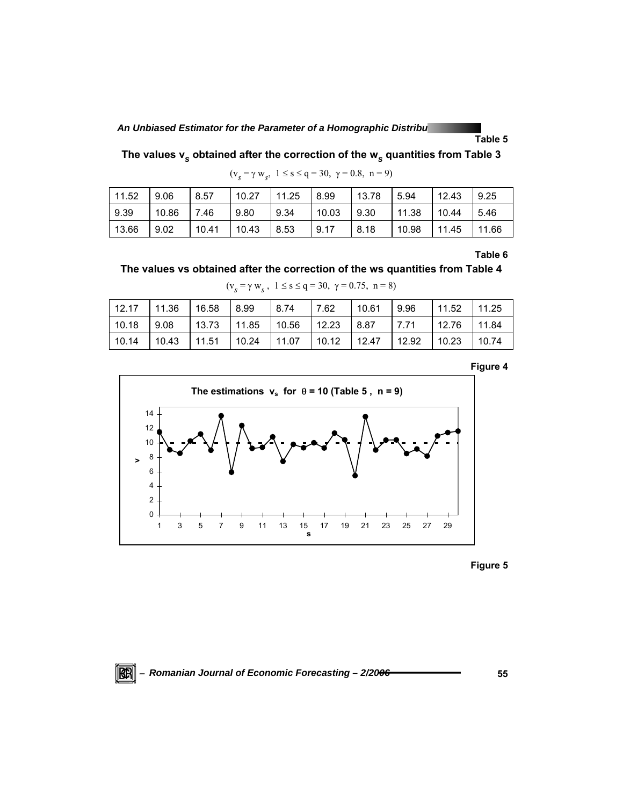**An Unbiased Estimator for the Parameter of a Homographic Distribution of a Homographic Articio Contains and Articio Contains and Articio Contains and Articio Contains and Articio Contains and Articio Contains and Articio** 

**Table 5** 

**The values v***s* **obtained after the correction of the w***s* **quantities from Table 3** 

 $(v<sub>s</sub> = \gamma w<sub>s</sub>, 1 \le s \le q = 30, \gamma = 0.8, n = 9)$ 

| 11.52 | 9.06  | 8.57  | 10.27 | 11.25 | 8.99  | 13.78 | 5.94  | 12.43 | 9.25  |
|-------|-------|-------|-------|-------|-------|-------|-------|-------|-------|
| 9.39  | 10.86 | 7.46  | 9.80  | 9.34  | 10.03 | 9.30  | 11.38 | 10.44 | 5.46  |
| 13.66 | .9.02 | 10.41 | 10.43 | 8.53  | 9.17  | 8.18  | 10.98 | 11.45 | 11.66 |

**Table 6** 

```
The values vs obtained after the correction of the ws quantities from Table 4
```
 $(v<sub>s</sub> = \gamma w<sub>s</sub>$ ,  $1 \le s \le q = 30, \gamma = 0.75, n = 8)$ 

| 12.17 | 11.36 | 16.58 | 8.99  | 8.74  | 7.62  | 10.61 | 9.96  | 11.52 | 11.25 |
|-------|-------|-------|-------|-------|-------|-------|-------|-------|-------|
| 10.18 | 9.08  | 13.73 | 11.85 | 10.56 | 12.23 | 8.87  | 7.71  | 12.76 | 11.84 |
| 10.14 | 10.43 | 11.51 | 10.24 | 11.07 | 10.12 | 12.47 | 12.92 | 10.23 | 10.74 |





**Figure 5** 

<sup>−</sup> *Romanian Journal of Economic Forecasting – 2/2006* **55**

 $\mathbb{R}$   $\mathbb{R}$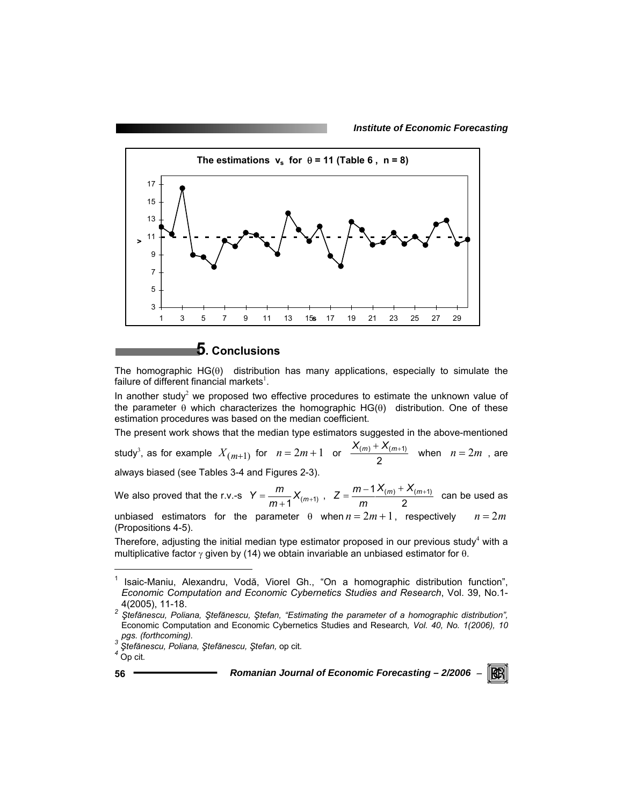*Institute of Economic Forecasting*



## **5. Conclusions**

The homographic  $HG(\theta)$  distribution has many applications, especially to simulate the failure of different financial markets<sup>1</sup>.

In another study<sup>2</sup> we proposed two effective procedures to estimate the unknown value of the parameter  $\theta$  which characterizes the homographic HG( $\theta$ ) distribution. One of these estimation procedures was based on the median coefficient.

The present work shows that the median type estimators suggested in the above-mentioned study<sup>3</sup>, as for example  $X_{(m+1)}$  for  $n = 2m + 1$  or  $\frac{X_{(m)} + X_{(m+1)}}{2}$  when  $n = 2m$ , are always biased (see Tables 3-4 and Figures 2-3).

We also proved that the r.v.-s  $Y = \frac{m}{m+1} X_{(m+1)}$ ,  $Z = \frac{m-1 X_{(m)} + X_{(m+1)}}{2}$  can be used as

unbiased estimators for the parameter  $\theta$  when  $n = 2m + 1$ , respectively  $n = 2m$ (Propositions 4-5).

Therefore, adjusting the initial median type estimator proposed in our previous study<sup>4</sup> with a multiplicative factor  $\gamma$  given by (14) we obtain invariable an unbiased estimator for  $\theta$ .

l

<sup>1</sup> Isaic-Maniu, Alexandru, Vodă, Viorel Gh., "On a homographic distribution function", *Economic Computation and Economic Cybernetics Studies and Research*, Vol. 39, No.1-

<sup>4(2005), 11-18.</sup> *<sup>2</sup> <sup>Ş</sup>tefănescu, Poliana, Ştefănescu, Ştefan, "Estimating the parameter of a homographic distribution",*  Economic Computation and Economic Cybernetics Studies and Research, *Vol. 40, No. 1(2006), 10*<br>*pgs. (forthcoming).*<br><sup>3</sup> Stoffnessy: Relignal Of Contractor Contractors

*pgs. (forthcoming). 3 <sup>Ş</sup>tefănescu, Poliana, Ştefănescu, Ştefan,* op cit*. 4* Op cit*.*